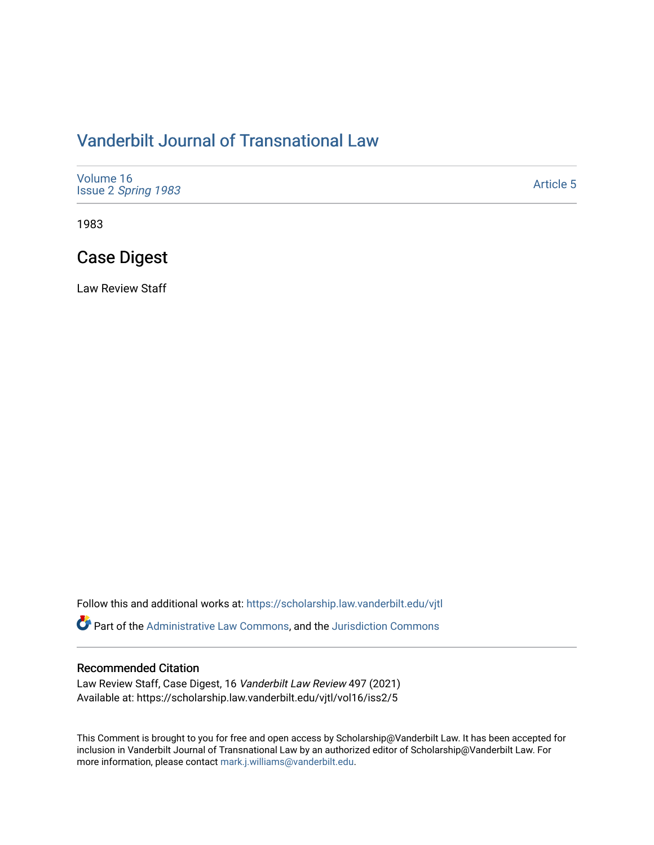## [Vanderbilt Journal of Transnational Law](https://scholarship.law.vanderbilt.edu/vjtl)

| Volume 16<br>Issue 2 Spring 1983 | <b>Article 5</b> |
|----------------------------------|------------------|
|----------------------------------|------------------|

1983

## Case Digest

Law Review Staff

Follow this and additional works at: [https://scholarship.law.vanderbilt.edu/vjtl](https://scholarship.law.vanderbilt.edu/vjtl?utm_source=scholarship.law.vanderbilt.edu%2Fvjtl%2Fvol16%2Fiss2%2F5&utm_medium=PDF&utm_campaign=PDFCoverPages) 

Part of the [Administrative Law Commons,](https://network.bepress.com/hgg/discipline/579?utm_source=scholarship.law.vanderbilt.edu%2Fvjtl%2Fvol16%2Fiss2%2F5&utm_medium=PDF&utm_campaign=PDFCoverPages) and the [Jurisdiction Commons](https://network.bepress.com/hgg/discipline/850?utm_source=scholarship.law.vanderbilt.edu%2Fvjtl%2Fvol16%2Fiss2%2F5&utm_medium=PDF&utm_campaign=PDFCoverPages) 

#### Recommended Citation

Law Review Staff, Case Digest, 16 Vanderbilt Law Review 497 (2021) Available at: https://scholarship.law.vanderbilt.edu/vjtl/vol16/iss2/5

This Comment is brought to you for free and open access by Scholarship@Vanderbilt Law. It has been accepted for inclusion in Vanderbilt Journal of Transnational Law by an authorized editor of Scholarship@Vanderbilt Law. For more information, please contact [mark.j.williams@vanderbilt.edu](mailto:mark.j.williams@vanderbilt.edu).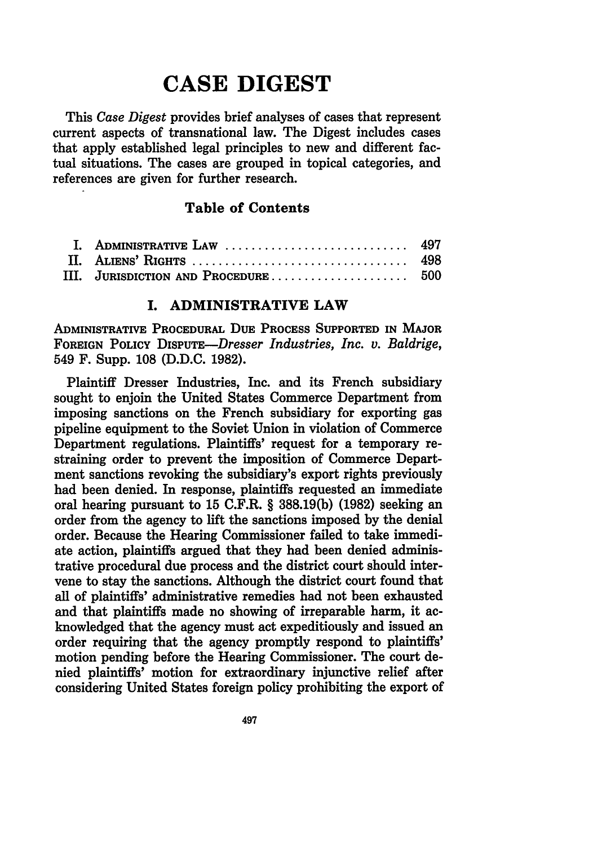# **CASE DIGEST**

This *Case Digest* provides brief analyses of cases that represent current aspects of transnational law. The Digest includes cases that apply established legal principles to new and different factual situations. The cases are grouped in topical categories, and references are given for further research.

### **Table of Contents**

| I. ADMINISTRATIVE LAW  497 |  |
|----------------------------|--|
|                            |  |
|                            |  |

#### **I. ADMINISTRATIVE LAW**

**ADMINISTRATIVE** PROCEDURAL DUE PROCESS **SUPPORTED IN MAJOR** FOREIGN POLICY *DISPUTE-Dresser Industries, Inc. v. Baldrige,* 549 F. Supp. **108 (D.D.C. 1982).**

Plaintiff Dresser Industries, Inc. and its French subsidiary sought to enjoin the United States Commerce Department from imposing sanctions on the French subsidiary for exporting gas pipeline equipment to the Soviet Union in violation of Commerce Department regulations. Plaintiffs' request for a temporary restraining order to prevent the imposition of Commerce Department sanctions revoking the subsidiary's export rights previously had been denied. In response, plaintiffs requested an immediate oral hearing pursuant to **15** C.F.R. § **388.19(b) (1982)** seeking an order from the agency to lift the sanctions imposed **by** the denial order. Because the Hearing Commissioner failed to take immediate action, plaintiffs argued that they had been denied administrative procedural due process and the district court should intervene to stay the sanctions. Although the district court found that all of plaintiffs' administrative remedies had not been exhausted and that plaintiffs made no showing of irreparable harm, it acknowledged that the agency must act expeditiously and issued an order requiring that the agency promptly respond to plaintiffs' motion pending before the Hearing Commissioner. The court denied plaintiffs' motion for extraordinary injunctive relief after considering United States foreign policy prohibiting the export of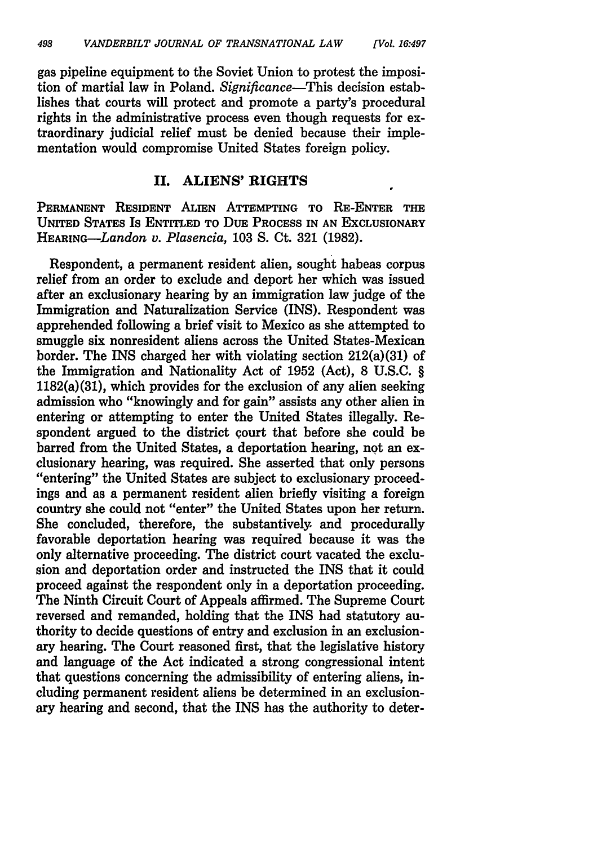gas pipeline equipment to the Soviet Union to protest the imposition of martial law in Poland. *Significance-This* decision establishes that courts will protect and promote a party's procedural rights in the administrative process even though requests for extraordinary judicial relief must be denied because their implementation would compromise United States foreign policy.

#### **II. ALIENS' RIGHTS**

**PERMANENT** RESIDENT **ALIEN** ATTEMPTING **TO RE-ENTER THE** UNITED STATES Is ENTITLED TO DuE PROCESS IN **AN** EXCLUSIONARY HEARING--Landon *v. Plasencia,* **103 S.** Ct. **321 (1982).**

Respondent, a permanent resident alien, sought habeas corpus relief from an order to exclude and deport her which was issued after an exclusionary hearing **by** an immigration law judge of the Immigration and Naturalization Service (INS). Respondent was apprehended following a brief visit to Mexico as she attempted to smuggle six nonresident aliens across the United States-Mexican border. The INS charged her with violating section 212(a)(31) of the Immigration and Nationality Act of **1952** (Act), **8 U.S.C.** § 1182(a)(31), which provides for the exclusion of any alien seeking admission who "knowingly and for gain" assists any other alien in entering or attempting to enter the United States illegally. Respondent argued to the district court that before she could be barred from the United States, a deportation hearing, not an exclusionary hearing, was required. She asserted that only persons "entering" the United States are subject to exclusionary proceedings and as a permanent resident alien briefly visiting a foreign country she could not "enter" the United States upon her return. She concluded, therefore, the substantively and procedurally favorable deportation hearing was required because it was the only alternative proceeding. The district court vacated the exclusion and deportation order and instructed the INS that it could proceed against the respondent only in a deportation proceeding. The Ninth Circuit Court of Appeals affirmed. The Supreme Court reversed and remanded, holding that the INS had statutory authority to decide questions of entry and exclusion in an exclusionary hearing. The Court reasoned first, that the legislative history and language of the Act indicated a strong congressional intent that questions concerning the admissibility of entering aliens, **in**cluding permanent resident aliens be determined in an exclusionary hearing and second, that the INS has the authority to deter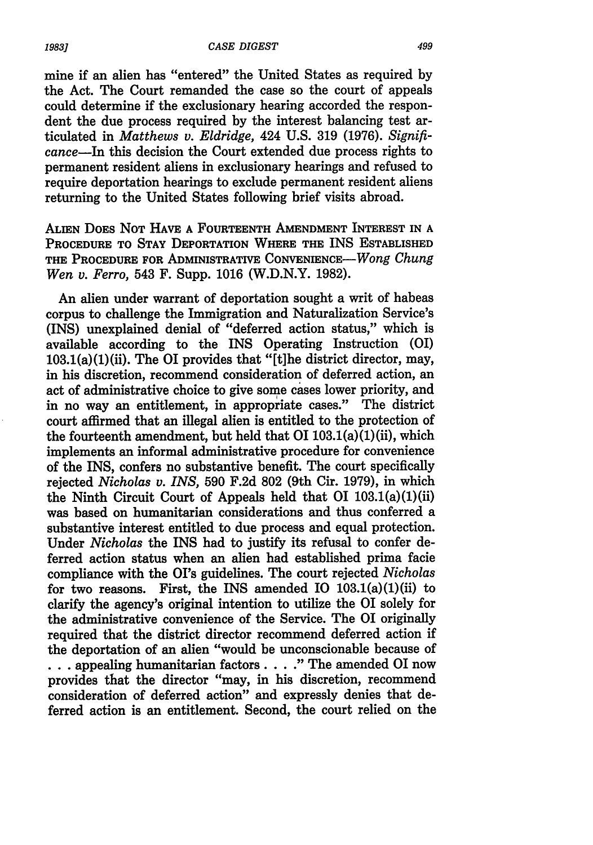mine if an alien has "entered" the United States as required by the Act. The Court remanded the case so the court of appeals could determine if the exclusionary hearing accorded the respondent the due process required by the interest balancing test articulated in *Matthews v. Eldridge,* 424 U.S. 319 (1976). *Significance-In* this decision the Court extended due process rights to permanent resident aliens in exclusionary hearings and refused to require deportation hearings to exclude permanent resident aliens returning to the United States following brief visits abroad.

ALIEN DOES **NOT HAVE A FOURTEENTH** AMENDMENT INTEREST IN **A** PROCEDURE TO **STAY** DEPORTATION WHERE **THE** INS ESTABLISHED **THE** PROCEDURE FOR ADMINISTRATIVE CONVENIENCE-Wong *Chung Wen v. Ferro,* 543 F. Supp. **1016** (W.D.N.Y. **1982).**

An alien under warrant of deportation sought a writ of habeas corpus to challenge the Immigration and Naturalization Service's (INS) unexplained denial of "deferred action status," which is available according to the INS Operating Instruction (01) 103.1(a)(1)(ii). The 01 provides that "[t]he district director, may, in his discretion, recommend consideration of deferred action, an act of administrative choice to give some cases lower priority, and in no way an entitlement, in appropriate cases." The district court affirmed that an illegal alien is entitled to the protection of the fourteenth amendment, but held that 01 **103.1(a)(1)** (ii), which implements an informal administrative procedure for convenience of the INS, confers no substantive benefit. The court specifically rejected *Nicholas v. INS,* **590 F.2d 802** (9th Cir. **1979),** in which the Ninth Circuit Court of Appeals held that 01 103.1(a)(1)(ii) was based on humanitarian considerations and thus conferred a substantive interest entitled to due process and equal protection. Under *Nicholas* the INS had to justify its refusal to confer deferred action status when an alien had established prima facie compliance with the OI's guidelines. The court rejected *Nicholas* for two reasons. First, the INS amended IO  $103.1(a)(1)(ii)$  to clarify the agency's original intention to utilize the 01 solely for the administrative convenience of the Service. The **01** originally required that the district director recommend deferred action if the deportation of an alien "would be unconscionable because of **.. .** appealing humanitarian factors. ... The amended 01 now provides that the director "may, in his discretion, recommend consideration of deferred action" and expressly denies that deferred action is an entitlement. Second, the court relied on the